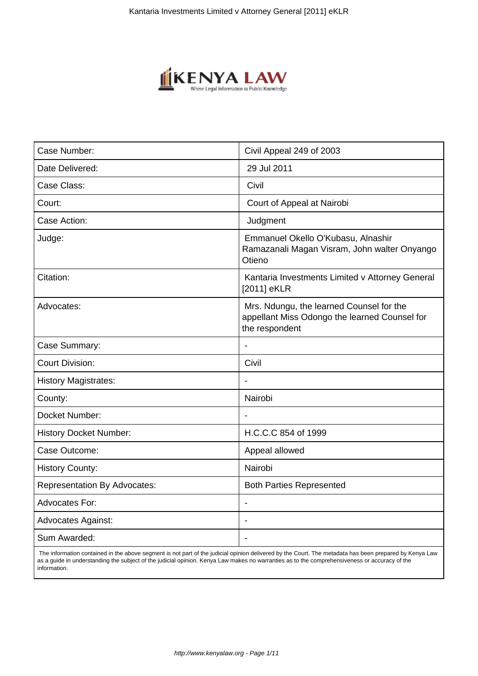

| Case Number:                        | Civil Appeal 249 of 2003                                                                                    |
|-------------------------------------|-------------------------------------------------------------------------------------------------------------|
| Date Delivered:                     | 29 Jul 2011                                                                                                 |
| Case Class:                         | Civil                                                                                                       |
| Court:                              | Court of Appeal at Nairobi                                                                                  |
| Case Action:                        | Judgment                                                                                                    |
| Judge:                              | Emmanuel Okello O'Kubasu, Alnashir<br>Ramazanali Magan Visram, John walter Onyango<br>Otieno                |
| Citation:                           | Kantaria Investments Limited v Attorney General<br>[2011] eKLR                                              |
| Advocates:                          | Mrs. Ndungu, the learned Counsel for the<br>appellant Miss Odongo the learned Counsel for<br>the respondent |
| Case Summary:                       |                                                                                                             |
| <b>Court Division:</b>              | Civil                                                                                                       |
| <b>History Magistrates:</b>         |                                                                                                             |
| County:                             | Nairobi                                                                                                     |
| Docket Number:                      |                                                                                                             |
| <b>History Docket Number:</b>       | H.C.C.C 854 of 1999                                                                                         |
| Case Outcome:                       | Appeal allowed                                                                                              |
| <b>History County:</b>              | Nairobi                                                                                                     |
| <b>Representation By Advocates:</b> | <b>Both Parties Represented</b>                                                                             |
| <b>Advocates For:</b>               | $\blacksquare$                                                                                              |
| <b>Advocates Against:</b>           | ÷.                                                                                                          |
| Sum Awarded:                        | $\overline{\phantom{a}}$                                                                                    |
|                                     |                                                                                                             |

 The information contained in the above segment is not part of the judicial opinion delivered by the Court. The metadata has been prepared by Kenya Law as a guide in understanding the subject of the judicial opinion. Kenya Law makes no warranties as to the comprehensiveness or accuracy of the information.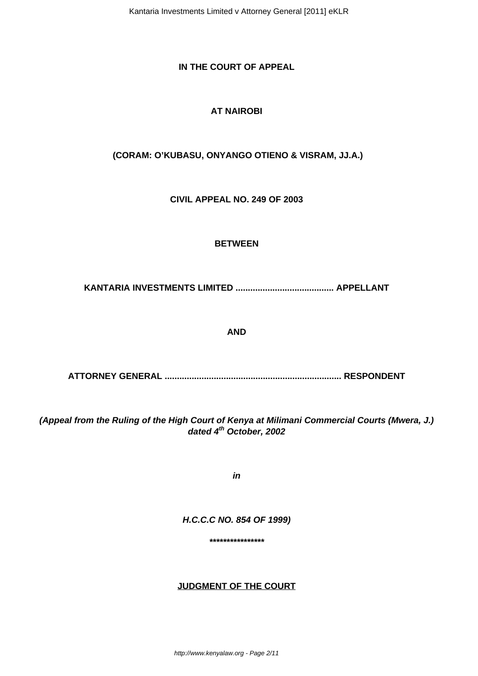Kantaria Investments Limited v Attorney General [2011] eKLR

# **IN THE COURT OF APPEAL**

# **AT NAIROBI**

# **(CORAM: O'KUBASU, ONYANGO OTIENO & VISRAM, JJ.A.)**

**CIVIL APPEAL NO. 249 OF 2003**

### **BETWEEN**

**KANTARIA INVESTMENTS LIMITED ........................................ APPELLANT**

#### **AND**

**ATTORNEY GENERAL ........................................................................ RESPONDENT**

**(Appeal from the Ruling of the High Court of Kenya at Milimani Commercial Courts (Mwera, J.) dated 4th October, 2002**

**in**

#### **H.C.C.C NO. 854 OF 1999)**

**\*\*\*\*\*\*\*\*\*\*\*\*\*\*\*\***

#### **JUDGMENT OF THE COURT**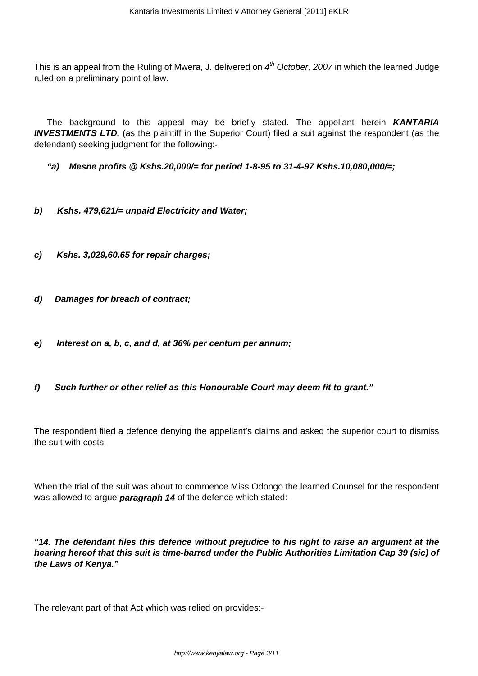This is an appeal from the Ruling of Mwera, J. delivered on  $4<sup>th</sup>$  October, 2007 in which the learned Judge ruled on a preliminary point of law.

The background to this appeal may be briefly stated. The appellant herein **KANTARIA INVESTMENTS LTD.** (as the plaintiff in the Superior Court) filed a suit against the respondent (as the defendant) seeking judgment for the following:-

**"a) Mesne profits @ Kshs.20,000/= for period 1-8-95 to 31-4-97 Kshs.10,080,000/=;**

- **b) Kshs. 479,621/= unpaid Electricity and Water;**
- **c) Kshs. 3,029,60.65 for repair charges;**
- **d) Damages for breach of contract;**
- **e) Interest on a, b, c, and d, at 36% per centum per annum;**
- **f) Such further or other relief as this Honourable Court may deem fit to grant."**

The respondent filed a defence denying the appellant's claims and asked the superior court to dismiss the suit with costs.

When the trial of the suit was about to commence Miss Odongo the learned Counsel for the respondent was allowed to argue **paragraph 14** of the defence which stated:-

**"14. The defendant files this defence without prejudice to his right to raise an argument at the hearing hereof that this suit is time-barred under the Public Authorities Limitation Cap 39 (sic) of the Laws of Kenya."**

The relevant part of that Act which was relied on provides:-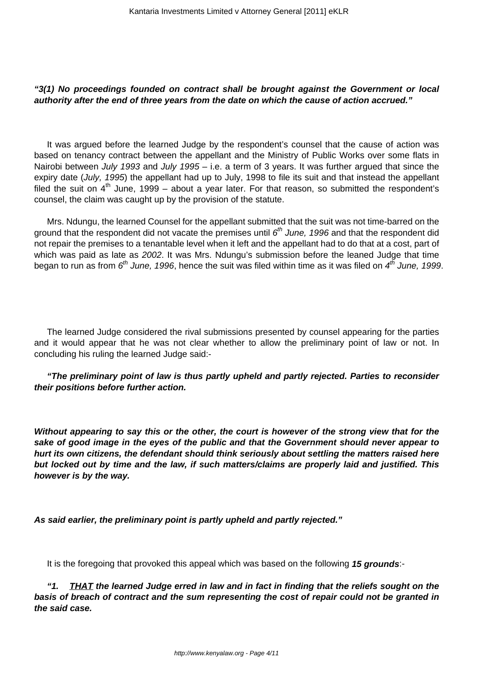# **"3(1) No proceedings founded on contract shall be brought against the Government or local authority after the end of three years from the date on which the cause of action accrued."**

It was argued before the learned Judge by the respondent's counsel that the cause of action was based on tenancy contract between the appellant and the Ministry of Public Works over some flats in Nairobi between July 1993 and July 1995 - i.e. a term of 3 years. It was further argued that since the expiry date (July, 1995) the appellant had up to July, 1998 to file its suit and that instead the appellant filed the suit on  $4<sup>th</sup>$  June, 1999 – about a year later. For that reason, so submitted the respondent's counsel, the claim was caught up by the provision of the statute.

Mrs. Ndungu, the learned Counsel for the appellant submitted that the suit was not time-barred on the ground that the respondent did not vacate the premises until  $6^{th}$  June, 1996 and that the respondent did not repair the premises to a tenantable level when it left and the appellant had to do that at a cost, part of which was paid as late as 2002. It was Mrs. Ndungu's submission before the leaned Judge that time began to run as from  $6^{th}$  June, 1996, hence the suit was filed within time as it was filed on  $4^{th}$  June, 1999.

The learned Judge considered the rival submissions presented by counsel appearing for the parties and it would appear that he was not clear whether to allow the preliminary point of law or not. In concluding his ruling the learned Judge said:-

### **"The preliminary point of law is thus partly upheld and partly rejected. Parties to reconsider their positions before further action.**

**Without appearing to say this or the other, the court is however of the strong view that for the sake of good image in the eyes of the public and that the Government should never appear to hurt its own citizens, the defendant should think seriously about settling the matters raised here but locked out by time and the law, if such matters/claims are properly laid and justified. This however is by the way.**

**As said earlier, the preliminary point is partly upheld and partly rejected."**

It is the foregoing that provoked this appeal which was based on the following **15 grounds**:-

**"1. THAT the learned Judge erred in law and in fact in finding that the reliefs sought on the basis of breach of contract and the sum representing the cost of repair could not be granted in the said case.**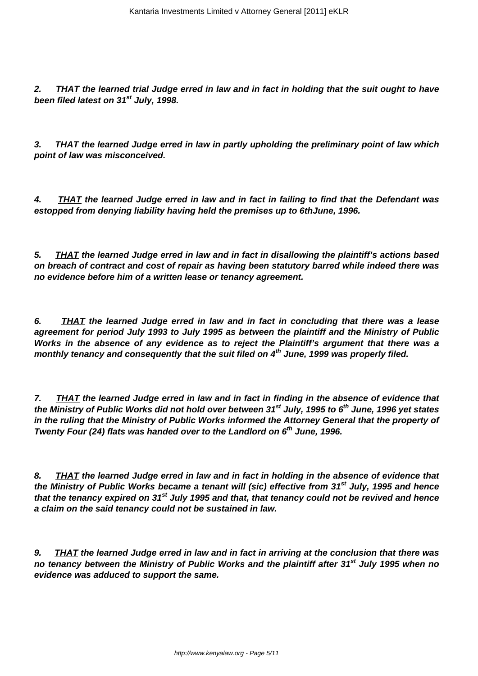**2. THAT the learned trial Judge erred in law and in fact in holding that the suit ought to have been filed latest on 31st July, 1998.**

**3. THAT the learned Judge erred in law in partly upholding the preliminary point of law which point of law was misconceived.**

**4. THAT the learned Judge erred in law and in fact in failing to find that the Defendant was estopped from denying liability having held the premises up to 6thJune, 1996.**

**5. THAT the learned Judge erred in law and in fact in disallowing the plaintiff's actions based on breach of contract and cost of repair as having been statutory barred while indeed there was no evidence before him of a written lease or tenancy agreement.**

**6. THAT the learned Judge erred in law and in fact in concluding that there was a lease agreement for period July 1993 to July 1995 as between the plaintiff and the Ministry of Public Works in the absence of any evidence as to reject the Plaintiff's argument that there was a monthly tenancy and consequently that the suit filed on 4th June, 1999 was properly filed.**

**7. THAT the learned Judge erred in law and in fact in finding in the absence of evidence that the Ministry of Public Works did not hold over between 31st July, 1995 to 6th June, 1996 yet states in the ruling that the Ministry of Public Works informed the Attorney General that the property of Twenty Four (24) flats was handed over to the Landlord on 6th June, 1996.**

**8. THAT the learned Judge erred in law and in fact in holding in the absence of evidence that the Ministry of Public Works became a tenant will (sic) effective from 31st July, 1995 and hence that the tenancy expired on 31st July 1995 and that, that tenancy could not be revived and hence a claim on the said tenancy could not be sustained in law.**

**9. THAT the learned Judge erred in law and in fact in arriving at the conclusion that there was no tenancy between the Ministry of Public Works and the plaintiff after 31st July 1995 when no evidence was adduced to support the same.**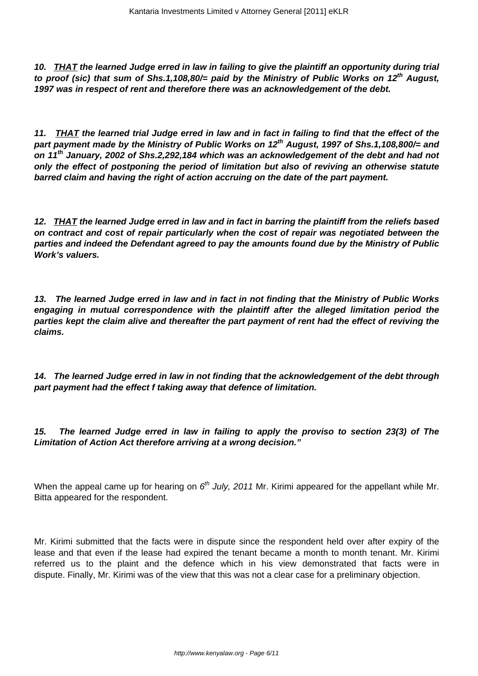**10. THAT the learned Judge erred in law in failing to give the plaintiff an opportunity during trial to proof (sic) that sum of Shs.1,108,80/= paid by the Ministry of Public Works on 12th August, 1997 was in respect of rent and therefore there was an acknowledgement of the debt.**

**11. THAT the learned trial Judge erred in law and in fact in failing to find that the effect of the part payment made by the Ministry of Public Works on 12th August, 1997 of Shs.1,108,800/= and on 11th January, 2002 of Shs.2,292,184 which was an acknowledgement of the debt and had not only the effect of postponing the period of limitation but also of reviving an otherwise statute barred claim and having the right of action accruing on the date of the part payment.**

**12. THAT the learned Judge erred in law and in fact in barring the plaintiff from the reliefs based on contract and cost of repair particularly when the cost of repair was negotiated between the parties and indeed the Defendant agreed to pay the amounts found due by the Ministry of Public Work's valuers.**

**13. The learned Judge erred in law and in fact in not finding that the Ministry of Public Works engaging in mutual correspondence with the plaintiff after the alleged limitation period the parties kept the claim alive and thereafter the part payment of rent had the effect of reviving the claims.**

**14. The learned Judge erred in law in not finding that the acknowledgement of the debt through part payment had the effect f taking away that defence of limitation.**

**15. The learned Judge erred in law in failing to apply the proviso to section 23(3) of The Limitation of Action Act therefore arriving at a wrong decision."**

When the appeal came up for hearing on  $6<sup>th</sup>$  July, 2011 Mr. Kirimi appeared for the appellant while Mr. Bitta appeared for the respondent.

Mr. Kirimi submitted that the facts were in dispute since the respondent held over after expiry of the lease and that even if the lease had expired the tenant became a month to month tenant. Mr. Kirimi referred us to the plaint and the defence which in his view demonstrated that facts were in dispute. Finally, Mr. Kirimi was of the view that this was not a clear case for a preliminary objection.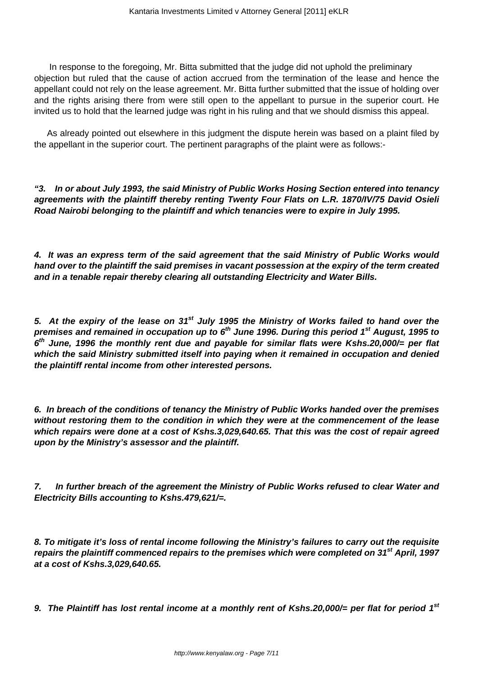In response to the foregoing, Mr. Bitta submitted that the judge did not uphold the preliminary objection but ruled that the cause of action accrued from the termination of the lease and hence the appellant could not rely on the lease agreement. Mr. Bitta further submitted that the issue of holding over and the rights arising there from were still open to the appellant to pursue in the superior court. He invited us to hold that the learned judge was right in his ruling and that we should dismiss this appeal.

As already pointed out elsewhere in this judgment the dispute herein was based on a plaint filed by the appellant in the superior court. The pertinent paragraphs of the plaint were as follows:-

**"3. In or about July 1993, the said Ministry of Public Works Hosing Section entered into tenancy agreements with the plaintiff thereby renting Twenty Four Flats on L.R. 1870/IV/75 David Osieli Road Nairobi belonging to the plaintiff and which tenancies were to expire in July 1995.**

**4. It was an express term of the said agreement that the said Ministry of Public Works would hand over to the plaintiff the said premises in vacant possession at the expiry of the term created and in a tenable repair thereby clearing all outstanding Electricity and Water Bills.**

**5. At the expiry of the lease on 31st July 1995 the Ministry of Works failed to hand over the premises and remained in occupation up to 6th June 1996. During this period 1st August, 1995 to 6 th June, 1996 the monthly rent due and payable for similar flats were Kshs.20,000/= per flat which the said Ministry submitted itself into paying when it remained in occupation and denied the plaintiff rental income from other interested persons.**

**6. In breach of the conditions of tenancy the Ministry of Public Works handed over the premises without restoring them to the condition in which they were at the commencement of the lease which repairs were done at a cost of Kshs.3,029,640.65. That this was the cost of repair agreed upon by the Ministry's assessor and the plaintiff.**

**7. In further breach of the agreement the Ministry of Public Works refused to clear Water and Electricity Bills accounting to Kshs.479,621/=.**

**8. To mitigate it's loss of rental income following the Ministry's failures to carry out the requisite repairs the plaintiff commenced repairs to the premises which were completed on 31st April, 1997 at a cost of Kshs.3,029,640.65.**

**9. The Plaintiff has lost rental income at a monthly rent of Kshs.20,000/= per flat for period 1st**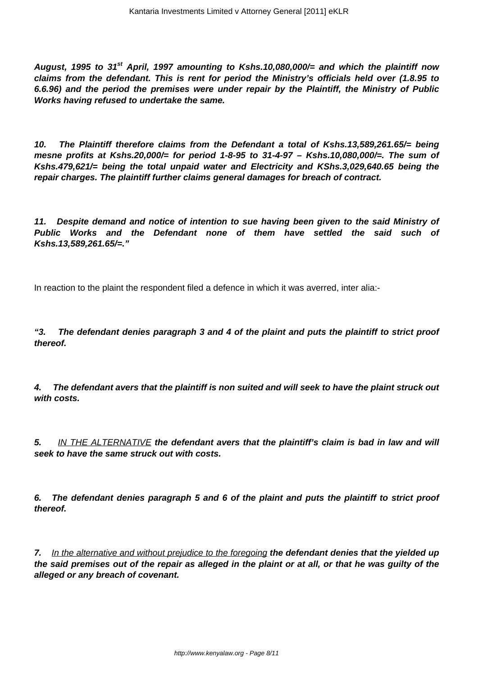**August, 1995 to 31st April, 1997 amounting to Kshs.10,080,000/= and which the plaintiff now claims from the defendant. This is rent for period the Ministry's officials held over (1.8.95 to 6.6.96) and the period the premises were under repair by the Plaintiff, the Ministry of Public Works having refused to undertake the same.**

**10. The Plaintiff therefore claims from the Defendant a total of Kshs.13,589,261.65/= being mesne profits at Kshs.20,000/= for period 1-8-95 to 31-4-97 – Kshs.10,080,000/=. The sum of Kshs.479,621/= being the total unpaid water and Electricity and KShs.3,029,640.65 being the repair charges. The plaintiff further claims general damages for breach of contract.**

**11. Despite demand and notice of intention to sue having been given to the said Ministry of Public Works and the Defendant none of them have settled the said such of Kshs.13,589,261.65/=."**

In reaction to the plaint the respondent filed a defence in which it was averred, inter alia:-

**"3. The defendant denies paragraph 3 and 4 of the plaint and puts the plaintiff to strict proof thereof.**

**4. The defendant avers that the plaintiff is non suited and will seek to have the plaint struck out with costs.**

**5.** IN THE ALTERNATIVE **the defendant avers that the plaintiff's claim is bad in law and will seek to have the same struck out with costs.**

**6. The defendant denies paragraph 5 and 6 of the plaint and puts the plaintiff to strict proof thereof.**

**7.** In the alternative and without prejudice to the foregoing **the defendant denies that the yielded up the said premises out of the repair as alleged in the plaint or at all, or that he was guilty of the alleged or any breach of covenant.**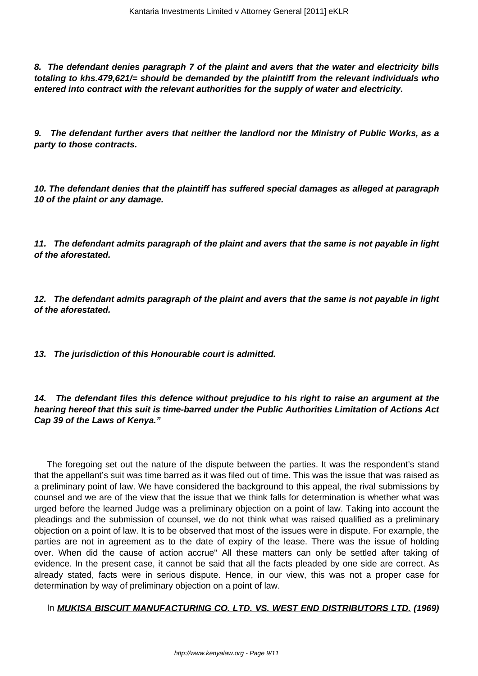**8. The defendant denies paragraph 7 of the plaint and avers that the water and electricity bills totaling to khs.479,621/= should be demanded by the plaintiff from the relevant individuals who entered into contract with the relevant authorities for the supply of water and electricity.**

**9. The defendant further avers that neither the landlord nor the Ministry of Public Works, as a party to those contracts.**

**10. The defendant denies that the plaintiff has suffered special damages as alleged at paragraph 10 of the plaint or any damage.**

**11. The defendant admits paragraph of the plaint and avers that the same is not payable in light of the aforestated.**

**12. The defendant admits paragraph of the plaint and avers that the same is not payable in light of the aforestated.**

**13. The jurisdiction of this Honourable court is admitted.**

**14. The defendant files this defence without prejudice to his right to raise an argument at the hearing hereof that this suit is time-barred under the Public Authorities Limitation of Actions Act Cap 39 of the Laws of Kenya."**

The foregoing set out the nature of the dispute between the parties. It was the respondent's stand that the appellant's suit was time barred as it was filed out of time. This was the issue that was raised as a preliminary point of law. We have considered the background to this appeal, the rival submissions by counsel and we are of the view that the issue that we think falls for determination is whether what was urged before the learned Judge was a preliminary objection on a point of law. Taking into account the pleadings and the submission of counsel, we do not think what was raised qualified as a preliminary objection on a point of law. It is to be observed that most of the issues were in dispute. For example, the parties are not in agreement as to the date of expiry of the lease. There was the issue of holding over. When did the cause of action accrue" All these matters can only be settled after taking of evidence. In the present case, it cannot be said that all the facts pleaded by one side are correct. As already stated, facts were in serious dispute. Hence, in our view, this was not a proper case for determination by way of preliminary objection on a point of law.

In **MUKISA BISCUIT MANUFACTURING CO. LTD. VS. WEST END DISTRIBUTORS LTD. (1969)**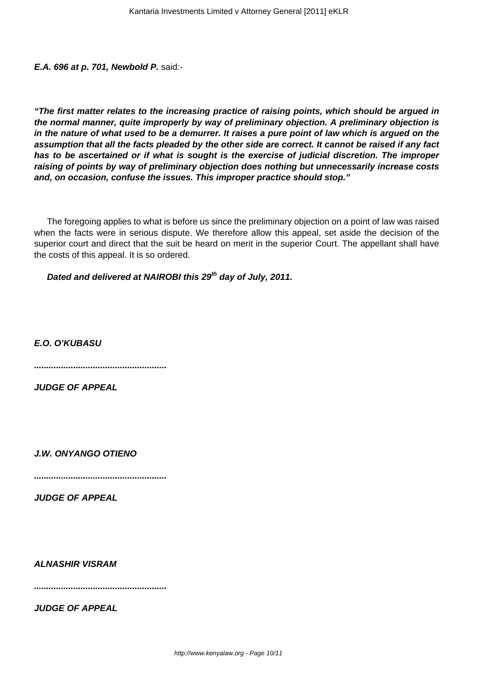**E.A. 696 at p. 701, Newbold P.** said:-

**"The first matter relates to the increasing practice of raising points, which should be argued in the normal manner, quite improperly by way of preliminary objection. A preliminary objection is in the nature of what used to be a demurrer. It raises a pure point of law which is argued on the assumption that all the facts pleaded by the other side are correct. It cannot be raised if any fact has to be ascertained or if what is sought is the exercise of judicial discretion. The improper raising of points by way of preliminary objection does nothing but unnecessarily increase costs and, on occasion, confuse the issues. This improper practice should stop."**

The foregoing applies to what is before us since the preliminary objection on a point of law was raised when the facts were in serious dispute. We therefore allow this appeal, set aside the decision of the superior court and direct that the suit be heard on merit in the superior Court. The appellant shall have the costs of this appeal. It is so ordered.

**Dated and delivered at NAIROBI this 29th day of July, 2011.**

**E.O. O'KUBASU**

**......................................................**

**JUDGE OF APPEAL**

**J.W. ONYANGO OTIENO**

**......................................................**

**JUDGE OF APPEAL**

**ALNASHIR VISRAM**

**......................................................**

**JUDGE OF APPEAL**